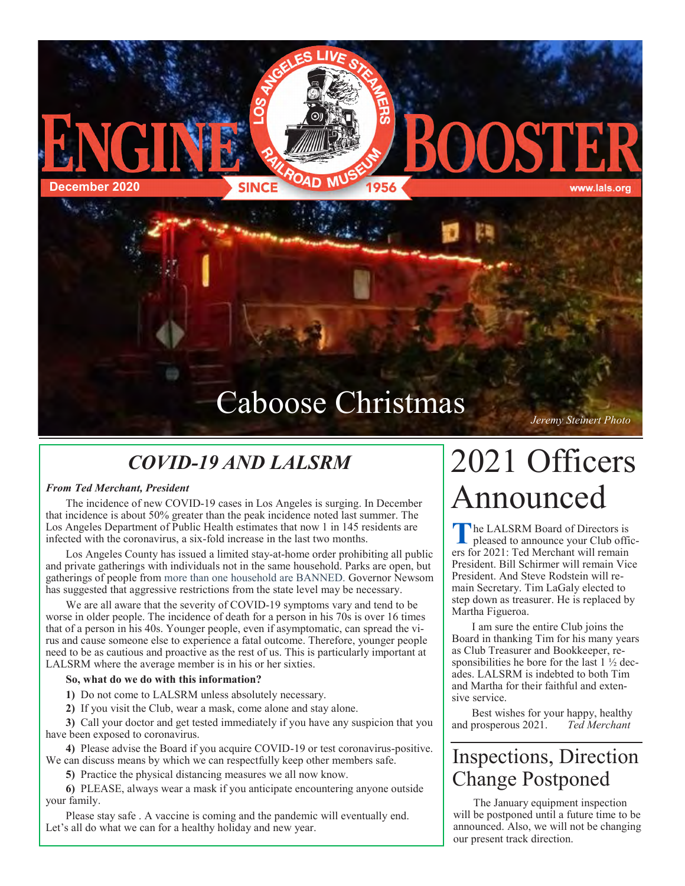

### *COVID-19 AND LALSRM*

### *From Ted Merchant, President*

The incidence of new COVID-19 cases in Los Angeles is surging. In December that incidence is about 50% greater than the peak incidence noted last summer. The Los Angeles Department of Public Health estimates that now 1 in 145 residents are infected with the coronavirus, a six-fold increase in the last two months.

Los Angeles County has issued a limited stay-at-home order prohibiting all public and private gatherings with individuals not in the same household. Parks are open, but gatherings of people from more than one household are BANNED. Governor Newsom has suggested that aggressive restrictions from the state level may be necessary.

We are all aware that the severity of COVID-19 symptoms vary and tend to be worse in older people. The incidence of death for a person in his 70s is over 16 times that of a person in his 40s. Younger people, even if asymptomatic, can spread the virus and cause someone else to experience a fatal outcome. Therefore, younger people need to be as cautious and proactive as the rest of us. This is particularly important at LALSRM where the average member is in his or her sixties.

### **So, what do we do with this information?**

**1)** Do not come to LALSRM unless absolutely necessary.

**2)** If you visit the Club, wear a mask, come alone and stay alone.

**3)** Call your doctor and get tested immediately if you have any suspicion that you have been exposed to coronavirus.

**4)** Please advise the Board if you acquire COVID-19 or test coronavirus-positive. We can discuss means by which we can respectfully keep other members safe.

**5)** Practice the physical distancing measures we all now know.

**6)** PLEASE, always wear a mask if you anticipate encountering anyone outside your family.

Please stay safe . A vaccine is coming and the pandemic will eventually end. Let's all do what we can for a healthy holiday and new year.

# 2021 Officers Announced

The LALSRM Board of Directors is<br>
pleased to announce your Club officers<br>
for 2021: Ted Merchant will remain he LALSRM Board of Directors is pleased to announce your Club offic-President. Bill Schirmer will remain Vice President. And Steve Rodstein will remain Secretary. Tim LaGaly elected to step down as treasurer. He is replaced by Martha Figueroa.

I am sure the entire Club joins the Board in thanking Tim for his many years as Club Treasurer and Bookkeeper, responsibilities he bore for the last 1 ½ decades. LALSRM is indebted to both Tim and Martha for their faithful and extensive service.

Best wishes for your happy, healthy and prosperous 2021. *Ted Merchant*

### Inspections, Direction Change Postponed

The January equipment inspection will be postponed until a future time to be announced. Also, we will not be changing our present track direction.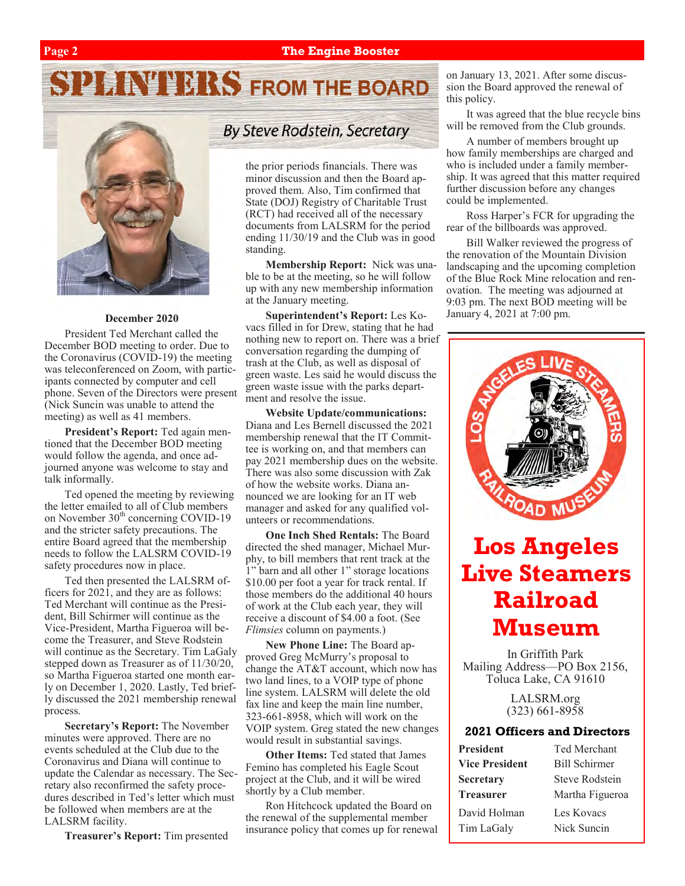### **Page 2 The Engine Booster**

## **SPLINTERS FROM THE BOARD**



#### **December 2020**

President Ted Merchant called the December BOD meeting to order. Due to the Coronavirus (COVID-19) the meeting was teleconferenced on Zoom, with participants connected by computer and cell phone. Seven of the Directors were present (Nick Suncin was unable to attend the meeting) as well as 41 members.

**President's Report:** Ted again mentioned that the December BOD meeting would follow the agenda, and once adjourned anyone was welcome to stay and talk informally.

Ted opened the meeting by reviewing the letter emailed to all of Club members on November 30<sup>th</sup> concerning COVID-19 and the stricter safety precautions. The entire Board agreed that the membership needs to follow the LALSRM COVID-19 safety procedures now in place.

Ted then presented the LALSRM officers for 2021, and they are as follows: Ted Merchant will continue as the President, Bill Schirmer will continue as the Vice-President, Martha Figueroa will become the Treasurer, and Steve Rodstein will continue as the Secretary. Tim LaGaly stepped down as Treasurer as of 11/30/20, so Martha Figueroa started one month early on December 1, 2020. Lastly, Ted briefly discussed the 2021 membership renewal process.

**Secretary's Report:** The November minutes were approved. There are no events scheduled at the Club due to the Coronavirus and Diana will continue to update the Calendar as necessary. The Secretary also reconfirmed the safety procedures described in Ted's letter which must be followed when members are at the LALSRM facility.

**Treasurer's Report:** Tim presented

### **By Steve Rodstein, Secretary**

the prior periods financials. There was minor discussion and then the Board approved them. Also, Tim confirmed that State (DOJ) Registry of Charitable Trust (RCT) had received all of the necessary documents from LALSRM for the period ending 11/30/19 and the Club was in good standing.

**Membership Report:** Nick was unable to be at the meeting, so he will follow up with any new membership information at the January meeting.

**Superintendent's Report:** Les Kovacs filled in for Drew, stating that he had nothing new to report on. There was a brief conversation regarding the dumping of trash at the Club, as well as disposal of green waste. Les said he would discuss the green waste issue with the parks department and resolve the issue.

**Website Update/communications:**  Diana and Les Bernell discussed the 2021 membership renewal that the IT Committee is working on, and that members can pay 2021 membership dues on the website. There was also some discussion with Zak of how the website works. Diana announced we are looking for an IT web manager and asked for any qualified volunteers or recommendations.

**One Inch Shed Rentals:** The Board directed the shed manager, Michael Murphy, to bill members that rent track at the 1" barn and all other 1" storage locations \$10.00 per foot a year for track rental. If those members do the additional 40 hours of work at the Club each year, they will receive a discount of \$4.00 a foot. (See *Flimsies* column on payments.)

**New Phone Line:** The Board approved Greg McMurry's proposal to change the AT&T account, which now has two land lines, to a VOIP type of phone line system. LALSRM will delete the old fax line and keep the main line number, 323-661-8958, which will work on the VOIP system. Greg stated the new changes would result in substantial savings.

**Other Items:** Ted stated that James Femino has completed his Eagle Scout project at the Club, and it will be wired shortly by a Club member.

Ron Hitchcock updated the Board on the renewal of the supplemental member insurance policy that comes up for renewal on January 13, 2021. After some discussion the Board approved the renewal of this policy.

It was agreed that the blue recycle bins will be removed from the Club grounds.

A number of members brought up how family memberships are charged and who is included under a family membership. It was agreed that this matter required further discussion before any changes could be implemented.

Ross Harper's FCR for upgrading the rear of the billboards was approved.

Bill Walker reviewed the progress of the renovation of the Mountain Division landscaping and the upcoming completion of the Blue Rock Mine relocation and renovation. The meeting was adjourned at 9:03 pm. The next BOD meeting will be January 4, 2021 at 7:00 pm.



### **Los Angeles Live Steamers Railroad Museum**

In Griffith Park Mailing Address—PO Box 2156, Toluca Lake, CA 91610

> LALSRM.org (323) 661-8958

### **2021 Officers and Directors**

| <b>Ted Merchant</b>       |
|---------------------------|
| <b>Bill Schirmer</b>      |
| Steve Rodstein            |
| Martha Figueroa           |
| Les Kovacs<br>Nick Suncin |
|                           |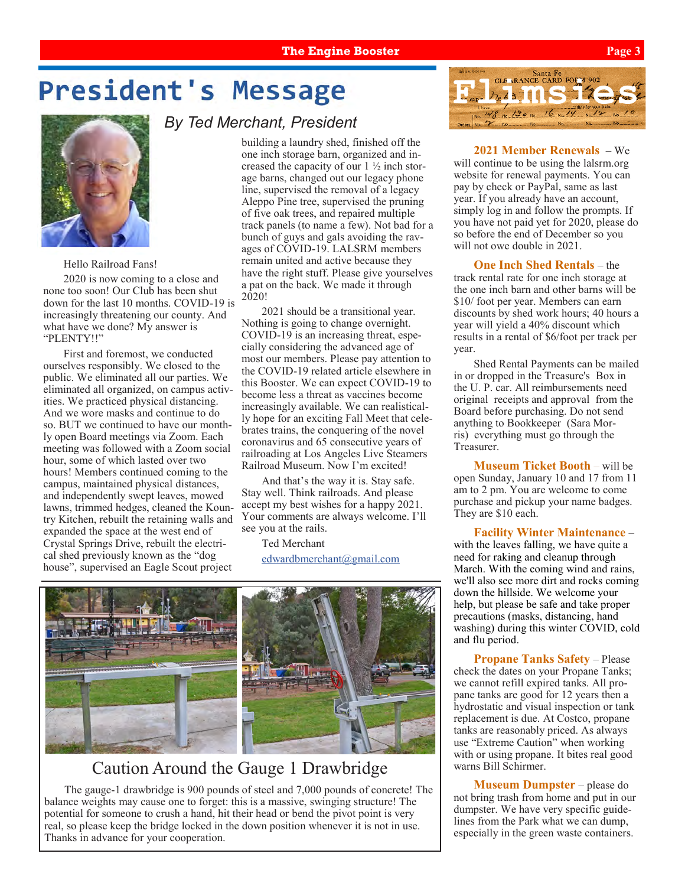### **The Engine Booster Page 3**

### **President's Message**



Hello Railroad Fans!

2020 is now coming to a close and none too soon! Our Club has been shut down for the last 10 months. COVID-19 is increasingly threatening our county. And what have we done? My answer is "PLENTY!!"

First and foremost, we conducted ourselves responsibly. We closed to the public. We eliminated all our parties. We eliminated all organized, on campus activities. We practiced physical distancing. And we wore masks and continue to do so. BUT we continued to have our monthly open Board meetings via Zoom. Each meeting was followed with a Zoom social hour, some of which lasted over two hours! Members continued coming to the campus, maintained physical distances, and independently swept leaves, mowed lawns, trimmed hedges, cleaned the Kountry Kitchen, rebuilt the retaining walls and expanded the space at the west end of Crystal Springs Drive, rebuilt the electrical shed previously known as the "dog house", supervised an Eagle Scout project

### *By Ted Merchant, President*

building a laundry shed, finished off the one inch storage barn, organized and increased the capacity of our 1 ½ inch storage barns, changed out our legacy phone line, supervised the removal of a legacy Aleppo Pine tree, supervised the pruning of five oak trees, and repaired multiple track panels (to name a few). Not bad for a bunch of guys and gals avoiding the ravages of COVID-19. LALSRM members remain united and active because they have the right stuff. Please give yourselves a pat on the back. We made it through 2020!

2021 should be a transitional year. Nothing is going to change overnight. COVID-19 is an increasing threat, especially considering the advanced age of most our members. Please pay attention to the COVID-19 related article elsewhere in this Booster. We can expect COVID-19 to become less a threat as vaccines become increasingly available. We can realistically hope for an exciting Fall Meet that celebrates trains, the conquering of the novel coronavirus and 65 consecutive years of railroading at Los Angeles Live Steamers Railroad Museum. Now I'm excited!

And that's the way it is. Stay safe. Stay well. Think railroads. And please accept my best wishes for a happy 2021. Your comments are always welcome. I'll see you at the rails.

Ted Merchant

[edwardbmerchant@gmail.com](mailto:edwardbmerchant@gmail.com)



### Caution Around the Gauge 1 Drawbridge

The gauge-1 drawbridge is 900 pounds of steel and 7,000 pounds of concrete! The balance weights may cause one to forget: this is a massive, swinging structure! The potential for someone to crush a hand, hit their head or bend the pivot point is very real, so please keep the bridge locked in the down position whenever it is not in use. Thanks in advance for your cooperation.



### **2021 Member Renewals** – We

will continue to be using the lalsrm.org website for renewal payments. You can pay by check or PayPal, same as last year. If you already have an account, simply log in and follow the prompts. If you have not paid yet for 2020, please do so before the end of December so you will not owe double in 2021.

#### **One Inch Shed Rentals** – the

track rental rate for one inch storage at the one inch barn and other barns will be \$10/ foot per year. Members can earn discounts by shed work hours; 40 hours a year will yield a 40% discount which results in a rental of \$6/foot per track per year.

Shed Rental Payments can be mailed in or dropped in the Treasure's Box in the U. P. car. All reimbursements need original receipts and approval from the Board before purchasing. Do not send anything to Bookkeeper (Sara Morris) everything must go through the Treasurer.

**Museum Ticket Booth** – will be open Sunday, January 10 and 17 from 11 am to 2 pm. You are welcome to come purchase and pickup your name badges. They are \$10 each.

**Facility Winter Maintenance** – with the leaves falling, we have quite a need for raking and cleanup through March. With the coming wind and rains, we'll also see more dirt and rocks coming down the hillside. We welcome your help, but please be safe and take proper precautions (masks, distancing, hand washing) during this winter COVID, cold and flu period.

**Propane Tanks Safety** – Please check the dates on your Propane Tanks; we cannot refill expired tanks. All propane tanks are good for 12 years then a hydrostatic and visual inspection or tank replacement is due. At Costco, propane tanks are reasonably priced. As always use "Extreme Caution" when working with or using propane. It bites real good warns Bill Schirmer.

**Museum Dumpster** – please do not bring trash from home and put in our dumpster. We have very specific guidelines from the Park what we can dump, especially in the green waste containers.